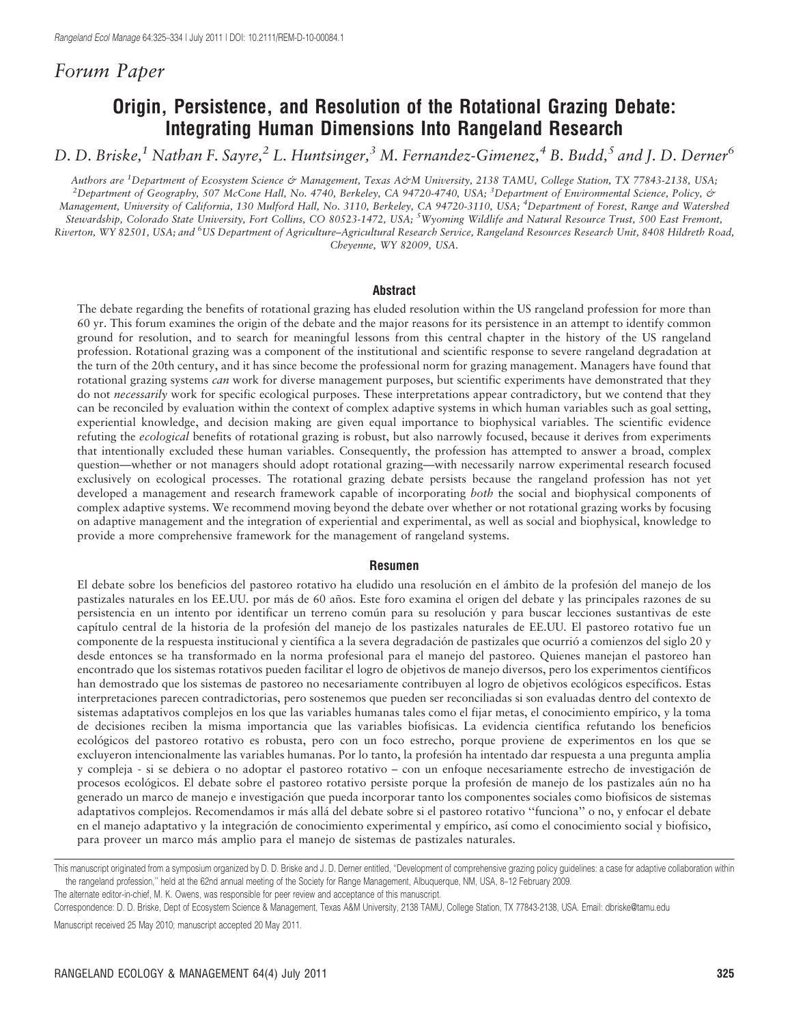# Forum Paper

# Origin, Persistence, and Resolution of the Rotational Grazing Debate: Integrating Human Dimensions Into Rangeland Research

D. D. Briske,<sup>1</sup> Nathan F. Sayre,<sup>2</sup> L. Huntsinger,<sup>3</sup> M. Fernandez-Gimenez,<sup>4</sup> B. Budd,<sup>5</sup> and J. D. Derner<sup>6</sup>

Authors are <sup>1</sup>Department of Ecosystem Science & Management, Texas A&M University, 2138 TAMU, College Station, TX 77843-2138, USA;<br><sup>2</sup>Department of Ceography, 507 McCone Hall, No. 4740, Parkelay, CA 94720 4740, USA; <sup>3</sup>Dep Department of Geography, 507 McCone Hall, No. 4740, Berkeley, CA 94720-4740, USA; <sup>3</sup>Department of Environmental Science, Policy, & Management, University of California, 130 Mulford Hall, No. 3110, Berkeley, CA 94720-3110, USA; <sup>4</sup>Department of Forest, Range and Watershed Stewardship, Colorado State University, Fort Collins, CO 80523-1472, USA; <sup>5</sup>Wyoming Wildlife and Natural Resource Trust, 500 East Fremont, Riverton, WY 82501, USA; and <sup>6</sup>US Department of Agriculture–Agricultural Research Service, Rangeland Resources Research Unit, 8408 Hildreth Road, Cheyenne, WY 82009, USA.

#### Abstract

The debate regarding the benefits of rotational grazing has eluded resolution within the US rangeland profession for more than 60 yr. This forum examines the origin of the debate and the major reasons for its persistence in an attempt to identify common ground for resolution, and to search for meaningful lessons from this central chapter in the history of the US rangeland profession. Rotational grazing was a component of the institutional and scientific response to severe rangeland degradation at the turn of the 20th century, and it has since become the professional norm for grazing management. Managers have found that rotational grazing systems can work for diverse management purposes, but scientific experiments have demonstrated that they do not necessarily work for specific ecological purposes. These interpretations appear contradictory, but we contend that they can be reconciled by evaluation within the context of complex adaptive systems in which human variables such as goal setting, experiential knowledge, and decision making are given equal importance to biophysical variables. The scientific evidence refuting the ecological benefits of rotational grazing is robust, but also narrowly focused, because it derives from experiments that intentionally excluded these human variables. Consequently, the profession has attempted to answer a broad, complex question—whether or not managers should adopt rotational grazing—with necessarily narrow experimental research focused exclusively on ecological processes. The rotational grazing debate persists because the rangeland profession has not yet developed a management and research framework capable of incorporating both the social and biophysical components of complex adaptive systems. We recommend moving beyond the debate over whether or not rotational grazing works by focusing on adaptive management and the integration of experiential and experimental, as well as social and biophysical, knowledge to provide a more comprehensive framework for the management of rangeland systems.

#### Resumen

El debate sobre los beneficios del pastoreo rotativo ha eludido una resolución en el ámbito de la profesión del manejo de los pastizales naturales en los EE.UU. por más de 60 años. Este foro examina el origen del debate y las principales razones de su persistencia en un intento por identificar un terreno común para su resolución y para buscar lecciones sustantivas de este capítulo central de la historia de la profesión del manejo de los pastizales naturales de EE.UU. El pastoreo rotativo fue un componente de la respuesta institucional y científica a la severa degradación de pastizales que ocurrió a comienzos del siglo 20 y desde entonces se ha transformado en la norma profesional para el manejo del pastoreo. Quienes manejan el pastoreo han encontrado que los sistemas rotativos pueden facilitar el logro de objetivos de manejo diversos, pero los experimentos científicos han demostrado que los sistemas de pastoreo no necesariamente contribuyen al logro de objetivos ecológicos específicos. Estas interpretaciones parecen contradictorias, pero sostenemos que pueden ser reconciliadas si son evaluadas dentro del contexto de sistemas adaptativos complejos en los que las variables humanas tales como el fijar metas, el conocimiento empírico, y la toma de decisiones reciben la misma importancia que las variables biofísicas. La evidencia científica refutando los beneficios ecológicos del pastoreo rotativo es robusta, pero con un foco estrecho, porque proviene de experimentos en los que se excluyeron intencionalmente las variables humanas. Por lo tanto, la profesión ha intentado dar respuesta a una pregunta amplia y compleja - si se debiera o no adoptar el pastoreo rotativo – con un enfoque necesariamente estrecho de investigación de procesos ecológicos. El debate sobre el pastoreo rotativo persiste porque la profesión de manejo de los pastizales aún no ha generado un marco de manejo e investigación que pueda incorporar tanto los componentes sociales como biofísicos de sistemas adaptativos complejos. Recomendamos ir más allá del debate sobre si el pastoreo rotativo "funciona" o no, y enfocar el debate en el manejo adaptativo y la integración de conocimiento experimental y empírico, así como el conocimiento social y biofísico, para proveer un marco más amplio para el manejo de sistemas de pastizales naturales.

The alternate editor-in-chief, M. K. Owens, was responsible for peer review and acceptance of this manuscript.

Manuscript received 25 May 2010; manuscript accepted 20 May 2011.

This manuscript originated from a symposium organized by D. D. Briske and J. D. Derner entitled, "Development of comprehensive grazing policy guidelines: a case for adaptive collaboration within the rangeland profession,'' held at the 62nd annual meeting of the Society for Range Management, Albuquerque, NM, USA, 8–12 February 2009.

Correspondence: D. D. Briske, Dept of Ecosystem Science & Management, Texas A&M University, 2138 TAMU, College Station, TX 77843-2138, USA. Email: dbriske@tamu.edu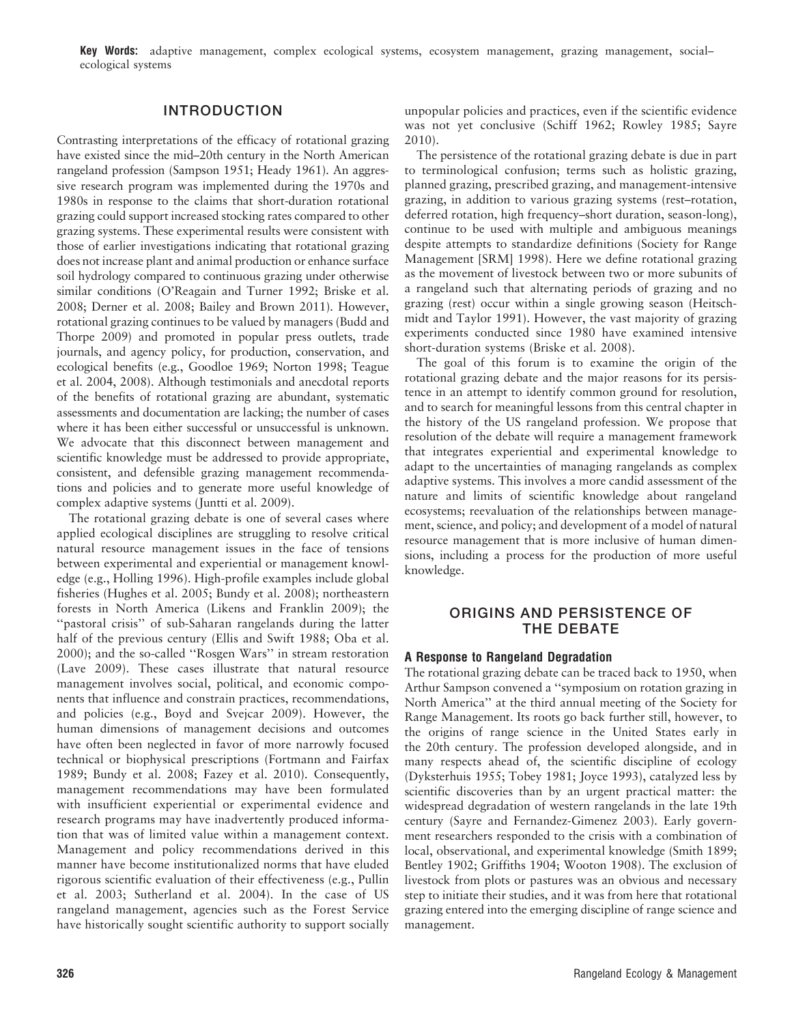Key Words: adaptive management, complex ecological systems, ecosystem management, grazing management, social– ecological systems

# INTRODUCTION

Contrasting interpretations of the efficacy of rotational grazing have existed since the mid–20th century in the North American rangeland profession (Sampson 1951; Heady 1961). An aggressive research program was implemented during the 1970s and 1980s in response to the claims that short-duration rotational grazing could support increased stocking rates compared to other grazing systems. These experimental results were consistent with those of earlier investigations indicating that rotational grazing does not increase plant and animal production or enhance surface soil hydrology compared to continuous grazing under otherwise similar conditions (O'Reagain and Turner 1992; Briske et al. 2008; Derner et al. 2008; Bailey and Brown 2011). However, rotational grazing continues to be valued by managers (Budd and Thorpe 2009) and promoted in popular press outlets, trade journals, and agency policy, for production, conservation, and ecological benefits (e.g., Goodloe 1969; Norton 1998; Teague et al. 2004, 2008). Although testimonials and anecdotal reports of the benefits of rotational grazing are abundant, systematic assessments and documentation are lacking; the number of cases where it has been either successful or unsuccessful is unknown. We advocate that this disconnect between management and scientific knowledge must be addressed to provide appropriate, consistent, and defensible grazing management recommendations and policies and to generate more useful knowledge of complex adaptive systems (Juntti et al. 2009).

The rotational grazing debate is one of several cases where applied ecological disciplines are struggling to resolve critical natural resource management issues in the face of tensions between experimental and experiential or management knowledge (e.g., Holling 1996). High-profile examples include global fisheries (Hughes et al. 2005; Bundy et al. 2008); northeastern forests in North America (Likens and Franklin 2009); the "pastoral crisis" of sub-Saharan rangelands during the latter half of the previous century (Ellis and Swift 1988; Oba et al. 2000); and the so-called ''Rosgen Wars'' in stream restoration (Lave 2009). These cases illustrate that natural resource management involves social, political, and economic components that influence and constrain practices, recommendations, and policies (e.g., Boyd and Svejcar 2009). However, the human dimensions of management decisions and outcomes have often been neglected in favor of more narrowly focused technical or biophysical prescriptions (Fortmann and Fairfax 1989; Bundy et al. 2008; Fazey et al. 2010). Consequently, management recommendations may have been formulated with insufficient experiential or experimental evidence and research programs may have inadvertently produced information that was of limited value within a management context. Management and policy recommendations derived in this manner have become institutionalized norms that have eluded rigorous scientific evaluation of their effectiveness (e.g., Pullin et al. 2003; Sutherland et al. 2004). In the case of US rangeland management, agencies such as the Forest Service have historically sought scientific authority to support socially

unpopular policies and practices, even if the scientific evidence was not yet conclusive (Schiff 1962; Rowley 1985; Sayre 2010).

The persistence of the rotational grazing debate is due in part to terminological confusion; terms such as holistic grazing, planned grazing, prescribed grazing, and management-intensive grazing, in addition to various grazing systems (rest–rotation, deferred rotation, high frequency–short duration, season-long), continue to be used with multiple and ambiguous meanings despite attempts to standardize definitions (Society for Range Management [SRM] 1998). Here we define rotational grazing as the movement of livestock between two or more subunits of a rangeland such that alternating periods of grazing and no grazing (rest) occur within a single growing season (Heitschmidt and Taylor 1991). However, the vast majority of grazing experiments conducted since 1980 have examined intensive short-duration systems (Briske et al. 2008).

The goal of this forum is to examine the origin of the rotational grazing debate and the major reasons for its persistence in an attempt to identify common ground for resolution, and to search for meaningful lessons from this central chapter in the history of the US rangeland profession. We propose that resolution of the debate will require a management framework that integrates experiential and experimental knowledge to adapt to the uncertainties of managing rangelands as complex adaptive systems. This involves a more candid assessment of the nature and limits of scientific knowledge about rangeland ecosystems; reevaluation of the relationships between management, science, and policy; and development of a model of natural resource management that is more inclusive of human dimensions, including a process for the production of more useful knowledge.

# ORIGINS AND PERSISTENCE OF THE DEBATE

#### A Response to Rangeland Degradation

The rotational grazing debate can be traced back to 1950, when Arthur Sampson convened a ''symposium on rotation grazing in North America'' at the third annual meeting of the Society for Range Management. Its roots go back further still, however, to the origins of range science in the United States early in the 20th century. The profession developed alongside, and in many respects ahead of, the scientific discipline of ecology (Dyksterhuis 1955; Tobey 1981; Joyce 1993), catalyzed less by scientific discoveries than by an urgent practical matter: the widespread degradation of western rangelands in the late 19th century (Sayre and Fernandez-Gimenez 2003). Early government researchers responded to the crisis with a combination of local, observational, and experimental knowledge (Smith 1899; Bentley 1902; Griffiths 1904; Wooton 1908). The exclusion of livestock from plots or pastures was an obvious and necessary step to initiate their studies, and it was from here that rotational grazing entered into the emerging discipline of range science and management.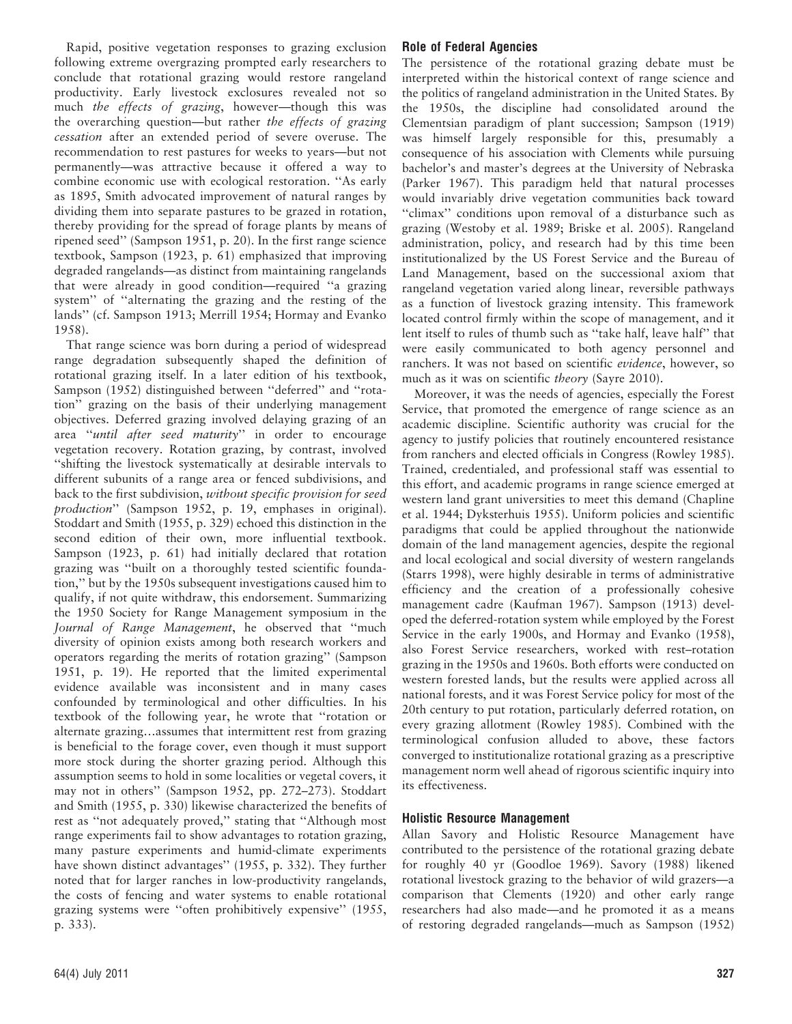Rapid, positive vegetation responses to grazing exclusion following extreme overgrazing prompted early researchers to conclude that rotational grazing would restore rangeland productivity. Early livestock exclosures revealed not so much the effects of grazing, however—though this was the overarching question—but rather the effects of grazing cessation after an extended period of severe overuse. The recommendation to rest pastures for weeks to years—but not permanently—was attractive because it offered a way to combine economic use with ecological restoration. ''As early as 1895, Smith advocated improvement of natural ranges by dividing them into separate pastures to be grazed in rotation, thereby providing for the spread of forage plants by means of ripened seed'' (Sampson 1951, p. 20). In the first range science textbook, Sampson (1923, p. 61) emphasized that improving degraded rangelands—as distinct from maintaining rangelands that were already in good condition—required ''a grazing system'' of ''alternating the grazing and the resting of the lands'' (cf. Sampson 1913; Merrill 1954; Hormay and Evanko 1958).

That range science was born during a period of widespread range degradation subsequently shaped the definition of rotational grazing itself. In a later edition of his textbook, Sampson (1952) distinguished between ''deferred'' and ''rotation'' grazing on the basis of their underlying management objectives. Deferred grazing involved delaying grazing of an area ''until after seed maturity'' in order to encourage vegetation recovery. Rotation grazing, by contrast, involved ''shifting the livestock systematically at desirable intervals to different subunits of a range area or fenced subdivisions, and back to the first subdivision, without specific provision for seed production'' (Sampson 1952, p. 19, emphases in original). Stoddart and Smith (1955, p. 329) echoed this distinction in the second edition of their own, more influential textbook. Sampson (1923, p. 61) had initially declared that rotation grazing was ''built on a thoroughly tested scientific foundation,'' but by the 1950s subsequent investigations caused him to qualify, if not quite withdraw, this endorsement. Summarizing the 1950 Society for Range Management symposium in the Journal of Range Management, he observed that ''much diversity of opinion exists among both research workers and operators regarding the merits of rotation grazing'' (Sampson 1951, p. 19). He reported that the limited experimental evidence available was inconsistent and in many cases confounded by terminological and other difficulties. In his textbook of the following year, he wrote that ''rotation or alternate grazing…assumes that intermittent rest from grazing is beneficial to the forage cover, even though it must support more stock during the shorter grazing period. Although this assumption seems to hold in some localities or vegetal covers, it may not in others'' (Sampson 1952, pp. 272–273). Stoddart and Smith (1955, p. 330) likewise characterized the benefits of rest as ''not adequately proved,'' stating that ''Although most range experiments fail to show advantages to rotation grazing, many pasture experiments and humid-climate experiments have shown distinct advantages'' (1955, p. 332). They further noted that for larger ranches in low-productivity rangelands, the costs of fencing and water systems to enable rotational grazing systems were ''often prohibitively expensive'' (1955, p. 333).

# Role of Federal Agencies

The persistence of the rotational grazing debate must be interpreted within the historical context of range science and the politics of rangeland administration in the United States. By the 1950s, the discipline had consolidated around the Clementsian paradigm of plant succession; Sampson (1919) was himself largely responsible for this, presumably a consequence of his association with Clements while pursuing bachelor's and master's degrees at the University of Nebraska (Parker 1967). This paradigm held that natural processes would invariably drive vegetation communities back toward "climax" conditions upon removal of a disturbance such as grazing (Westoby et al. 1989; Briske et al. 2005). Rangeland administration, policy, and research had by this time been institutionalized by the US Forest Service and the Bureau of Land Management, based on the successional axiom that rangeland vegetation varied along linear, reversible pathways as a function of livestock grazing intensity. This framework located control firmly within the scope of management, and it lent itself to rules of thumb such as ''take half, leave half'' that were easily communicated to both agency personnel and ranchers. It was not based on scientific evidence, however, so much as it was on scientific theory (Sayre 2010).

Moreover, it was the needs of agencies, especially the Forest Service, that promoted the emergence of range science as an academic discipline. Scientific authority was crucial for the agency to justify policies that routinely encountered resistance from ranchers and elected officials in Congress (Rowley 1985). Trained, credentialed, and professional staff was essential to this effort, and academic programs in range science emerged at western land grant universities to meet this demand (Chapline et al. 1944; Dyksterhuis 1955). Uniform policies and scientific paradigms that could be applied throughout the nationwide domain of the land management agencies, despite the regional and local ecological and social diversity of western rangelands (Starrs 1998), were highly desirable in terms of administrative efficiency and the creation of a professionally cohesive management cadre (Kaufman 1967). Sampson (1913) developed the deferred-rotation system while employed by the Forest Service in the early 1900s, and Hormay and Evanko (1958), also Forest Service researchers, worked with rest–rotation grazing in the 1950s and 1960s. Both efforts were conducted on western forested lands, but the results were applied across all national forests, and it was Forest Service policy for most of the 20th century to put rotation, particularly deferred rotation, on every grazing allotment (Rowley 1985). Combined with the terminological confusion alluded to above, these factors converged to institutionalize rotational grazing as a prescriptive management norm well ahead of rigorous scientific inquiry into its effectiveness.

# Holistic Resource Management

Allan Savory and Holistic Resource Management have contributed to the persistence of the rotational grazing debate for roughly 40 yr (Goodloe 1969). Savory (1988) likened rotational livestock grazing to the behavior of wild grazers—a comparison that Clements (1920) and other early range researchers had also made—and he promoted it as a means of restoring degraded rangelands—much as Sampson (1952)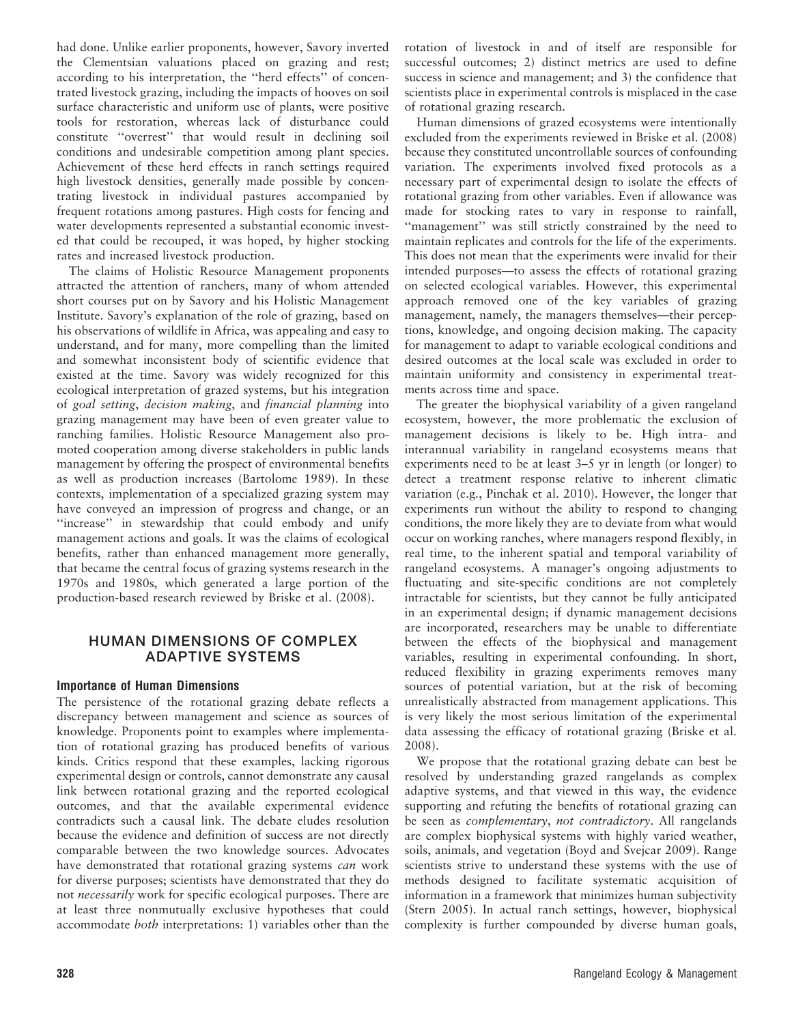had done. Unlike earlier proponents, however, Savory inverted the Clementsian valuations placed on grazing and rest; according to his interpretation, the ''herd effects'' of concentrated livestock grazing, including the impacts of hooves on soil surface characteristic and uniform use of plants, were positive tools for restoration, whereas lack of disturbance could constitute ''overrest'' that would result in declining soil conditions and undesirable competition among plant species. Achievement of these herd effects in ranch settings required high livestock densities, generally made possible by concentrating livestock in individual pastures accompanied by frequent rotations among pastures. High costs for fencing and water developments represented a substantial economic invested that could be recouped, it was hoped, by higher stocking rates and increased livestock production.

The claims of Holistic Resource Management proponents attracted the attention of ranchers, many of whom attended short courses put on by Savory and his Holistic Management Institute. Savory's explanation of the role of grazing, based on his observations of wildlife in Africa, was appealing and easy to understand, and for many, more compelling than the limited and somewhat inconsistent body of scientific evidence that existed at the time. Savory was widely recognized for this ecological interpretation of grazed systems, but his integration of goal setting, decision making, and financial planning into grazing management may have been of even greater value to ranching families. Holistic Resource Management also promoted cooperation among diverse stakeholders in public lands management by offering the prospect of environmental benefits as well as production increases (Bartolome 1989). In these contexts, implementation of a specialized grazing system may have conveyed an impression of progress and change, or an "increase" in stewardship that could embody and unify management actions and goals. It was the claims of ecological benefits, rather than enhanced management more generally, that became the central focus of grazing systems research in the 1970s and 1980s, which generated a large portion of the production-based research reviewed by Briske et al. (2008).

# HUMAN DIMENSIONS OF COMPLEX ADAPTIVE SYSTEMS

# Importance of Human Dimensions

The persistence of the rotational grazing debate reflects a discrepancy between management and science as sources of knowledge. Proponents point to examples where implementation of rotational grazing has produced benefits of various kinds. Critics respond that these examples, lacking rigorous experimental design or controls, cannot demonstrate any causal link between rotational grazing and the reported ecological outcomes, and that the available experimental evidence contradicts such a causal link. The debate eludes resolution because the evidence and definition of success are not directly comparable between the two knowledge sources. Advocates have demonstrated that rotational grazing systems can work for diverse purposes; scientists have demonstrated that they do not necessarily work for specific ecological purposes. There are at least three nonmutually exclusive hypotheses that could accommodate both interpretations: 1) variables other than the rotation of livestock in and of itself are responsible for successful outcomes; 2) distinct metrics are used to define success in science and management; and 3) the confidence that scientists place in experimental controls is misplaced in the case of rotational grazing research.

Human dimensions of grazed ecosystems were intentionally excluded from the experiments reviewed in Briske et al. (2008) because they constituted uncontrollable sources of confounding variation. The experiments involved fixed protocols as a necessary part of experimental design to isolate the effects of rotational grazing from other variables. Even if allowance was made for stocking rates to vary in response to rainfall, "management" was still strictly constrained by the need to maintain replicates and controls for the life of the experiments. This does not mean that the experiments were invalid for their intended purposes—to assess the effects of rotational grazing on selected ecological variables. However, this experimental approach removed one of the key variables of grazing management, namely, the managers themselves—their perceptions, knowledge, and ongoing decision making. The capacity for management to adapt to variable ecological conditions and desired outcomes at the local scale was excluded in order to maintain uniformity and consistency in experimental treatments across time and space.

The greater the biophysical variability of a given rangeland ecosystem, however, the more problematic the exclusion of management decisions is likely to be. High intra- and interannual variability in rangeland ecosystems means that experiments need to be at least 3–5 yr in length (or longer) to detect a treatment response relative to inherent climatic variation (e.g., Pinchak et al. 2010). However, the longer that experiments run without the ability to respond to changing conditions, the more likely they are to deviate from what would occur on working ranches, where managers respond flexibly, in real time, to the inherent spatial and temporal variability of rangeland ecosystems. A manager's ongoing adjustments to fluctuating and site-specific conditions are not completely intractable for scientists, but they cannot be fully anticipated in an experimental design; if dynamic management decisions are incorporated, researchers may be unable to differentiate between the effects of the biophysical and management variables, resulting in experimental confounding. In short, reduced flexibility in grazing experiments removes many sources of potential variation, but at the risk of becoming unrealistically abstracted from management applications. This is very likely the most serious limitation of the experimental data assessing the efficacy of rotational grazing (Briske et al. 2008).

We propose that the rotational grazing debate can best be resolved by understanding grazed rangelands as complex adaptive systems, and that viewed in this way, the evidence supporting and refuting the benefits of rotational grazing can be seen as complementary, not contradictory. All rangelands are complex biophysical systems with highly varied weather, soils, animals, and vegetation (Boyd and Svejcar 2009). Range scientists strive to understand these systems with the use of methods designed to facilitate systematic acquisition of information in a framework that minimizes human subjectivity (Stern 2005). In actual ranch settings, however, biophysical complexity is further compounded by diverse human goals,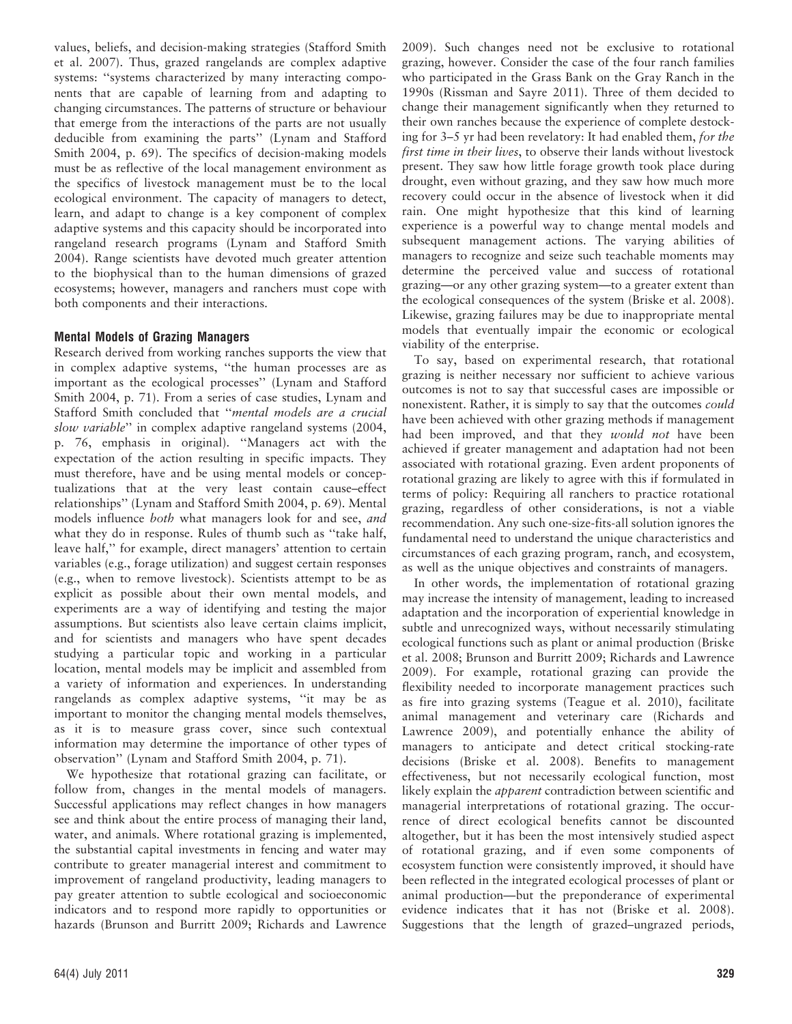values, beliefs, and decision-making strategies (Stafford Smith et al. 2007). Thus, grazed rangelands are complex adaptive systems: ''systems characterized by many interacting components that are capable of learning from and adapting to changing circumstances. The patterns of structure or behaviour that emerge from the interactions of the parts are not usually deducible from examining the parts'' (Lynam and Stafford Smith 2004, p. 69). The specifics of decision-making models must be as reflective of the local management environment as the specifics of livestock management must be to the local ecological environment. The capacity of managers to detect, learn, and adapt to change is a key component of complex adaptive systems and this capacity should be incorporated into rangeland research programs (Lynam and Stafford Smith 2004). Range scientists have devoted much greater attention to the biophysical than to the human dimensions of grazed ecosystems; however, managers and ranchers must cope with both components and their interactions.

# Mental Models of Grazing Managers

Research derived from working ranches supports the view that in complex adaptive systems, ''the human processes are as important as the ecological processes'' (Lynam and Stafford Smith 2004, p. 71). From a series of case studies, Lynam and Stafford Smith concluded that ''mental models are a crucial slow variable'' in complex adaptive rangeland systems (2004, p. 76, emphasis in original). ''Managers act with the expectation of the action resulting in specific impacts. They must therefore, have and be using mental models or conceptualizations that at the very least contain cause–effect relationships'' (Lynam and Stafford Smith 2004, p. 69). Mental models influence both what managers look for and see, and what they do in response. Rules of thumb such as ''take half, leave half,'' for example, direct managers' attention to certain variables (e.g., forage utilization) and suggest certain responses (e.g., when to remove livestock). Scientists attempt to be as explicit as possible about their own mental models, and experiments are a way of identifying and testing the major assumptions. But scientists also leave certain claims implicit, and for scientists and managers who have spent decades studying a particular topic and working in a particular location, mental models may be implicit and assembled from a variety of information and experiences. In understanding rangelands as complex adaptive systems, ''it may be as important to monitor the changing mental models themselves, as it is to measure grass cover, since such contextual information may determine the importance of other types of observation'' (Lynam and Stafford Smith 2004, p. 71).

We hypothesize that rotational grazing can facilitate, or follow from, changes in the mental models of managers. Successful applications may reflect changes in how managers see and think about the entire process of managing their land, water, and animals. Where rotational grazing is implemented, the substantial capital investments in fencing and water may contribute to greater managerial interest and commitment to improvement of rangeland productivity, leading managers to pay greater attention to subtle ecological and socioeconomic indicators and to respond more rapidly to opportunities or hazards (Brunson and Burritt 2009; Richards and Lawrence

2009). Such changes need not be exclusive to rotational grazing, however. Consider the case of the four ranch families who participated in the Grass Bank on the Gray Ranch in the 1990s (Rissman and Sayre 2011). Three of them decided to change their management significantly when they returned to their own ranches because the experience of complete destocking for 3–5 yr had been revelatory: It had enabled them, for the first time in their lives, to observe their lands without livestock present. They saw how little forage growth took place during drought, even without grazing, and they saw how much more recovery could occur in the absence of livestock when it did rain. One might hypothesize that this kind of learning experience is a powerful way to change mental models and subsequent management actions. The varying abilities of managers to recognize and seize such teachable moments may determine the perceived value and success of rotational grazing—or any other grazing system—to a greater extent than the ecological consequences of the system (Briske et al. 2008). Likewise, grazing failures may be due to inappropriate mental models that eventually impair the economic or ecological viability of the enterprise.

To say, based on experimental research, that rotational grazing is neither necessary nor sufficient to achieve various outcomes is not to say that successful cases are impossible or nonexistent. Rather, it is simply to say that the outcomes could have been achieved with other grazing methods if management had been improved, and that they would not have been achieved if greater management and adaptation had not been associated with rotational grazing. Even ardent proponents of rotational grazing are likely to agree with this if formulated in terms of policy: Requiring all ranchers to practice rotational grazing, regardless of other considerations, is not a viable recommendation. Any such one-size-fits-all solution ignores the fundamental need to understand the unique characteristics and circumstances of each grazing program, ranch, and ecosystem, as well as the unique objectives and constraints of managers.

In other words, the implementation of rotational grazing may increase the intensity of management, leading to increased adaptation and the incorporation of experiential knowledge in subtle and unrecognized ways, without necessarily stimulating ecological functions such as plant or animal production (Briske et al. 2008; Brunson and Burritt 2009; Richards and Lawrence 2009). For example, rotational grazing can provide the flexibility needed to incorporate management practices such as fire into grazing systems (Teague et al. 2010), facilitate animal management and veterinary care (Richards and Lawrence 2009), and potentially enhance the ability of managers to anticipate and detect critical stocking-rate decisions (Briske et al. 2008). Benefits to management effectiveness, but not necessarily ecological function, most likely explain the *apparent* contradiction between scientific and managerial interpretations of rotational grazing. The occurrence of direct ecological benefits cannot be discounted altogether, but it has been the most intensively studied aspect of rotational grazing, and if even some components of ecosystem function were consistently improved, it should have been reflected in the integrated ecological processes of plant or animal production—but the preponderance of experimental evidence indicates that it has not (Briske et al. 2008). Suggestions that the length of grazed–ungrazed periods,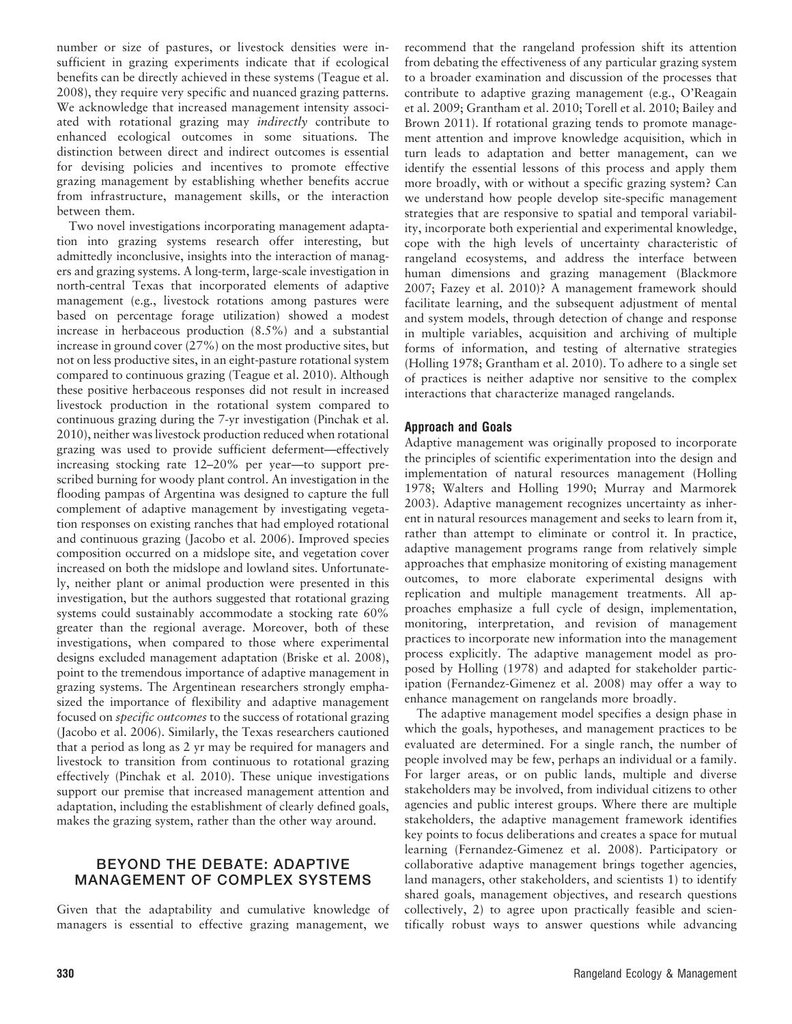number or size of pastures, or livestock densities were insufficient in grazing experiments indicate that if ecological benefits can be directly achieved in these systems (Teague et al. 2008), they require very specific and nuanced grazing patterns. We acknowledge that increased management intensity associated with rotational grazing may indirectly contribute to enhanced ecological outcomes in some situations. The distinction between direct and indirect outcomes is essential for devising policies and incentives to promote effective grazing management by establishing whether benefits accrue from infrastructure, management skills, or the interaction between them.

Two novel investigations incorporating management adaptation into grazing systems research offer interesting, but admittedly inconclusive, insights into the interaction of managers and grazing systems. A long-term, large-scale investigation in north-central Texas that incorporated elements of adaptive management (e.g., livestock rotations among pastures were based on percentage forage utilization) showed a modest increase in herbaceous production (8.5%) and a substantial increase in ground cover (27%) on the most productive sites, but not on less productive sites, in an eight-pasture rotational system compared to continuous grazing (Teague et al. 2010). Although these positive herbaceous responses did not result in increased livestock production in the rotational system compared to continuous grazing during the 7-yr investigation (Pinchak et al. 2010), neither was livestock production reduced when rotational grazing was used to provide sufficient deferment—effectively increasing stocking rate 12–20% per year—to support prescribed burning for woody plant control. An investigation in the flooding pampas of Argentina was designed to capture the full complement of adaptive management by investigating vegetation responses on existing ranches that had employed rotational and continuous grazing (Jacobo et al. 2006). Improved species composition occurred on a midslope site, and vegetation cover increased on both the midslope and lowland sites. Unfortunately, neither plant or animal production were presented in this investigation, but the authors suggested that rotational grazing systems could sustainably accommodate a stocking rate 60% greater than the regional average. Moreover, both of these investigations, when compared to those where experimental designs excluded management adaptation (Briske et al. 2008), point to the tremendous importance of adaptive management in grazing systems. The Argentinean researchers strongly emphasized the importance of flexibility and adaptive management focused on specific outcomes to the success of rotational grazing (Jacobo et al. 2006). Similarly, the Texas researchers cautioned that a period as long as 2 yr may be required for managers and livestock to transition from continuous to rotational grazing effectively (Pinchak et al. 2010). These unique investigations support our premise that increased management attention and adaptation, including the establishment of clearly defined goals, makes the grazing system, rather than the other way around.

# BEYOND THE DEBATE: ADAPTIVE MANAGEMENT OF COMPLEX SYSTEMS

Given that the adaptability and cumulative knowledge of managers is essential to effective grazing management, we

recommend that the rangeland profession shift its attention from debating the effectiveness of any particular grazing system to a broader examination and discussion of the processes that contribute to adaptive grazing management (e.g., O'Reagain et al. 2009; Grantham et al. 2010; Torell et al. 2010; Bailey and Brown 2011). If rotational grazing tends to promote management attention and improve knowledge acquisition, which in turn leads to adaptation and better management, can we identify the essential lessons of this process and apply them more broadly, with or without a specific grazing system? Can we understand how people develop site-specific management strategies that are responsive to spatial and temporal variability, incorporate both experiential and experimental knowledge, cope with the high levels of uncertainty characteristic of rangeland ecosystems, and address the interface between human dimensions and grazing management (Blackmore 2007; Fazey et al. 2010)? A management framework should facilitate learning, and the subsequent adjustment of mental and system models, through detection of change and response in multiple variables, acquisition and archiving of multiple forms of information, and testing of alternative strategies (Holling 1978; Grantham et al. 2010). To adhere to a single set of practices is neither adaptive nor sensitive to the complex interactions that characterize managed rangelands.

# Approach and Goals

Adaptive management was originally proposed to incorporate the principles of scientific experimentation into the design and implementation of natural resources management (Holling 1978; Walters and Holling 1990; Murray and Marmorek 2003). Adaptive management recognizes uncertainty as inherent in natural resources management and seeks to learn from it, rather than attempt to eliminate or control it. In practice, adaptive management programs range from relatively simple approaches that emphasize monitoring of existing management outcomes, to more elaborate experimental designs with replication and multiple management treatments. All approaches emphasize a full cycle of design, implementation, monitoring, interpretation, and revision of management practices to incorporate new information into the management process explicitly. The adaptive management model as proposed by Holling (1978) and adapted for stakeholder participation (Fernandez-Gimenez et al. 2008) may offer a way to enhance management on rangelands more broadly.

The adaptive management model specifies a design phase in which the goals, hypotheses, and management practices to be evaluated are determined. For a single ranch, the number of people involved may be few, perhaps an individual or a family. For larger areas, or on public lands, multiple and diverse stakeholders may be involved, from individual citizens to other agencies and public interest groups. Where there are multiple stakeholders, the adaptive management framework identifies key points to focus deliberations and creates a space for mutual learning (Fernandez-Gimenez et al. 2008). Participatory or collaborative adaptive management brings together agencies, land managers, other stakeholders, and scientists 1) to identify shared goals, management objectives, and research questions collectively, 2) to agree upon practically feasible and scientifically robust ways to answer questions while advancing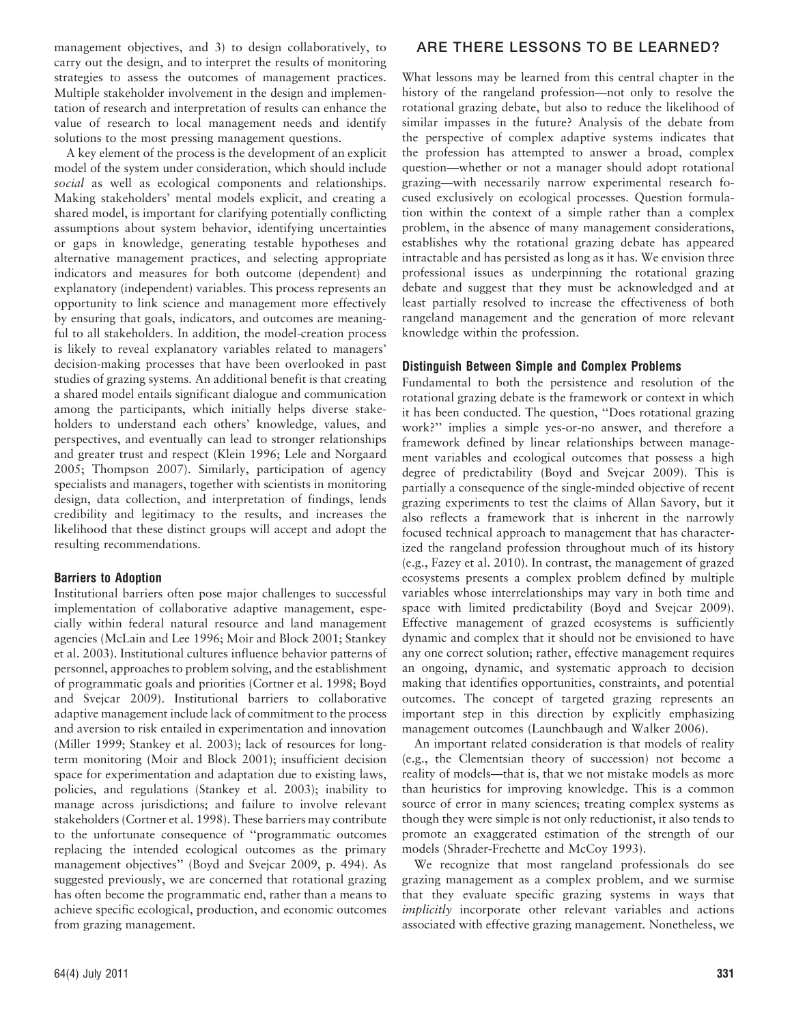management objectives, and 3) to design collaboratively, to carry out the design, and to interpret the results of monitoring strategies to assess the outcomes of management practices. Multiple stakeholder involvement in the design and implementation of research and interpretation of results can enhance the value of research to local management needs and identify solutions to the most pressing management questions.

A key element of the process is the development of an explicit model of the system under consideration, which should include social as well as ecological components and relationships. Making stakeholders' mental models explicit, and creating a shared model, is important for clarifying potentially conflicting assumptions about system behavior, identifying uncertainties or gaps in knowledge, generating testable hypotheses and alternative management practices, and selecting appropriate indicators and measures for both outcome (dependent) and explanatory (independent) variables. This process represents an opportunity to link science and management more effectively by ensuring that goals, indicators, and outcomes are meaningful to all stakeholders. In addition, the model-creation process is likely to reveal explanatory variables related to managers' decision-making processes that have been overlooked in past studies of grazing systems. An additional benefit is that creating a shared model entails significant dialogue and communication among the participants, which initially helps diverse stakeholders to understand each others' knowledge, values, and perspectives, and eventually can lead to stronger relationships and greater trust and respect (Klein 1996; Lele and Norgaard 2005; Thompson 2007). Similarly, participation of agency specialists and managers, together with scientists in monitoring design, data collection, and interpretation of findings, lends credibility and legitimacy to the results, and increases the likelihood that these distinct groups will accept and adopt the resulting recommendations.

# Barriers to Adoption

Institutional barriers often pose major challenges to successful implementation of collaborative adaptive management, especially within federal natural resource and land management agencies (McLain and Lee 1996; Moir and Block 2001; Stankey et al. 2003). Institutional cultures influence behavior patterns of personnel, approaches to problem solving, and the establishment of programmatic goals and priorities (Cortner et al. 1998; Boyd and Svejcar 2009). Institutional barriers to collaborative adaptive management include lack of commitment to the process and aversion to risk entailed in experimentation and innovation (Miller 1999; Stankey et al. 2003); lack of resources for longterm monitoring (Moir and Block 2001); insufficient decision space for experimentation and adaptation due to existing laws, policies, and regulations (Stankey et al. 2003); inability to manage across jurisdictions; and failure to involve relevant stakeholders (Cortner et al. 1998). These barriers may contribute to the unfortunate consequence of ''programmatic outcomes replacing the intended ecological outcomes as the primary management objectives'' (Boyd and Svejcar 2009, p. 494). As suggested previously, we are concerned that rotational grazing has often become the programmatic end, rather than a means to achieve specific ecological, production, and economic outcomes from grazing management.

# ARE THERE LESSONS TO BE LEARNED?

What lessons may be learned from this central chapter in the history of the rangeland profession—not only to resolve the rotational grazing debate, but also to reduce the likelihood of similar impasses in the future? Analysis of the debate from the perspective of complex adaptive systems indicates that the profession has attempted to answer a broad, complex question—whether or not a manager should adopt rotational grazing—with necessarily narrow experimental research focused exclusively on ecological processes. Question formulation within the context of a simple rather than a complex problem, in the absence of many management considerations, establishes why the rotational grazing debate has appeared intractable and has persisted as long as it has. We envision three professional issues as underpinning the rotational grazing debate and suggest that they must be acknowledged and at least partially resolved to increase the effectiveness of both rangeland management and the generation of more relevant knowledge within the profession.

#### Distinguish Between Simple and Complex Problems

Fundamental to both the persistence and resolution of the rotational grazing debate is the framework or context in which it has been conducted. The question, ''Does rotational grazing work?'' implies a simple yes-or-no answer, and therefore a framework defined by linear relationships between management variables and ecological outcomes that possess a high degree of predictability (Boyd and Svejcar 2009). This is partially a consequence of the single-minded objective of recent grazing experiments to test the claims of Allan Savory, but it also reflects a framework that is inherent in the narrowly focused technical approach to management that has characterized the rangeland profession throughout much of its history (e.g., Fazey et al. 2010). In contrast, the management of grazed ecosystems presents a complex problem defined by multiple variables whose interrelationships may vary in both time and space with limited predictability (Boyd and Svejcar 2009). Effective management of grazed ecosystems is sufficiently dynamic and complex that it should not be envisioned to have any one correct solution; rather, effective management requires an ongoing, dynamic, and systematic approach to decision making that identifies opportunities, constraints, and potential outcomes. The concept of targeted grazing represents an important step in this direction by explicitly emphasizing management outcomes (Launchbaugh and Walker 2006).

An important related consideration is that models of reality (e.g., the Clementsian theory of succession) not become a reality of models—that is, that we not mistake models as more than heuristics for improving knowledge. This is a common source of error in many sciences; treating complex systems as though they were simple is not only reductionist, it also tends to promote an exaggerated estimation of the strength of our models (Shrader-Frechette and McCoy 1993).

We recognize that most rangeland professionals do see grazing management as a complex problem, and we surmise that they evaluate specific grazing systems in ways that implicitly incorporate other relevant variables and actions associated with effective grazing management. Nonetheless, we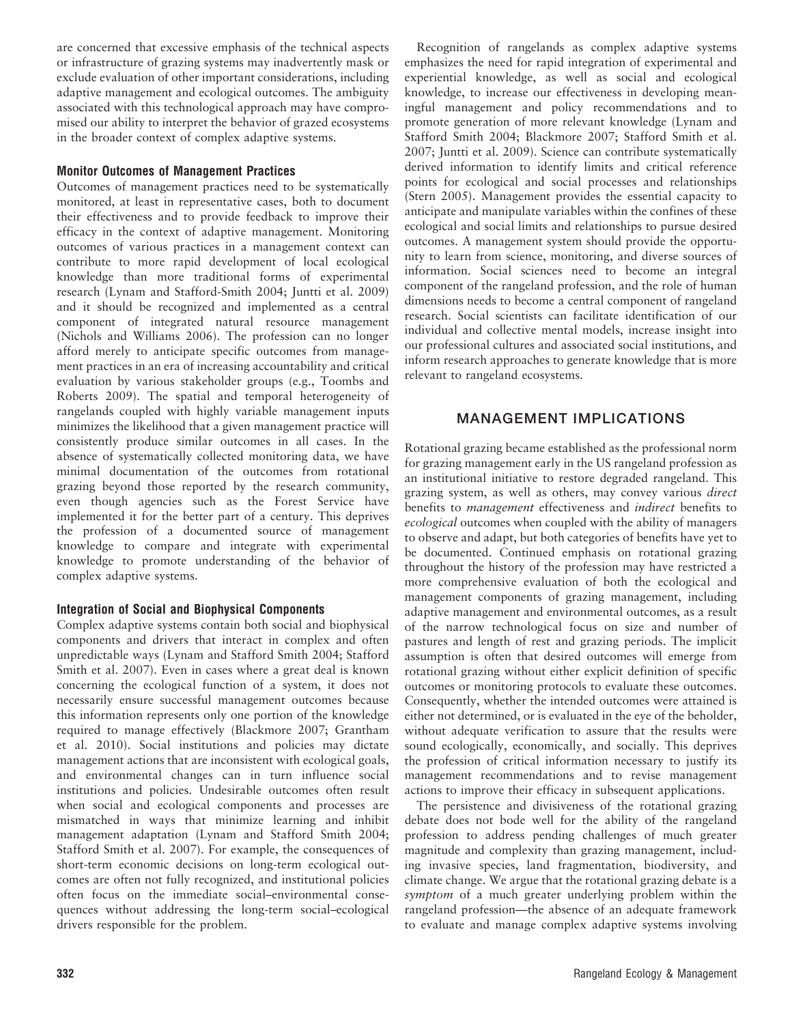are concerned that excessive emphasis of the technical aspects or infrastructure of grazing systems may inadvertently mask or exclude evaluation of other important considerations, including adaptive management and ecological outcomes. The ambiguity associated with this technological approach may have compromised our ability to interpret the behavior of grazed ecosystems in the broader context of complex adaptive systems.

#### Monitor Outcomes of Management Practices

Outcomes of management practices need to be systematically monitored, at least in representative cases, both to document their effectiveness and to provide feedback to improve their efficacy in the context of adaptive management. Monitoring outcomes of various practices in a management context can contribute to more rapid development of local ecological knowledge than more traditional forms of experimental research (Lynam and Stafford-Smith 2004; Juntti et al. 2009) and it should be recognized and implemented as a central component of integrated natural resource management (Nichols and Williams 2006). The profession can no longer afford merely to anticipate specific outcomes from management practices in an era of increasing accountability and critical evaluation by various stakeholder groups (e.g., Toombs and Roberts 2009). The spatial and temporal heterogeneity of rangelands coupled with highly variable management inputs minimizes the likelihood that a given management practice will consistently produce similar outcomes in all cases. In the absence of systematically collected monitoring data, we have minimal documentation of the outcomes from rotational grazing beyond those reported by the research community, even though agencies such as the Forest Service have implemented it for the better part of a century. This deprives the profession of a documented source of management knowledge to compare and integrate with experimental knowledge to promote understanding of the behavior of complex adaptive systems.

# Integration of Social and Biophysical Components

Complex adaptive systems contain both social and biophysical components and drivers that interact in complex and often unpredictable ways (Lynam and Stafford Smith 2004; Stafford Smith et al. 2007). Even in cases where a great deal is known concerning the ecological function of a system, it does not necessarily ensure successful management outcomes because this information represents only one portion of the knowledge required to manage effectively (Blackmore 2007; Grantham et al. 2010). Social institutions and policies may dictate management actions that are inconsistent with ecological goals, and environmental changes can in turn influence social institutions and policies. Undesirable outcomes often result when social and ecological components and processes are mismatched in ways that minimize learning and inhibit management adaptation (Lynam and Stafford Smith 2004; Stafford Smith et al. 2007). For example, the consequences of short-term economic decisions on long-term ecological outcomes are often not fully recognized, and institutional policies often focus on the immediate social–environmental consequences without addressing the long-term social–ecological drivers responsible for the problem.

Recognition of rangelands as complex adaptive systems emphasizes the need for rapid integration of experimental and experiential knowledge, as well as social and ecological knowledge, to increase our effectiveness in developing meaningful management and policy recommendations and to promote generation of more relevant knowledge (Lynam and Stafford Smith 2004; Blackmore 2007; Stafford Smith et al. 2007; Juntti et al. 2009). Science can contribute systematically derived information to identify limits and critical reference points for ecological and social processes and relationships (Stern 2005). Management provides the essential capacity to anticipate and manipulate variables within the confines of these ecological and social limits and relationships to pursue desired outcomes. A management system should provide the opportunity to learn from science, monitoring, and diverse sources of information. Social sciences need to become an integral component of the rangeland profession, and the role of human dimensions needs to become a central component of rangeland research. Social scientists can facilitate identification of our individual and collective mental models, increase insight into our professional cultures and associated social institutions, and inform research approaches to generate knowledge that is more relevant to rangeland ecosystems.

# MANAGEMENT IMPLICATIONS

Rotational grazing became established as the professional norm for grazing management early in the US rangeland profession as an institutional initiative to restore degraded rangeland. This grazing system, as well as others, may convey various direct benefits to management effectiveness and indirect benefits to ecological outcomes when coupled with the ability of managers to observe and adapt, but both categories of benefits have yet to be documented. Continued emphasis on rotational grazing throughout the history of the profession may have restricted a more comprehensive evaluation of both the ecological and management components of grazing management, including adaptive management and environmental outcomes, as a result of the narrow technological focus on size and number of pastures and length of rest and grazing periods. The implicit assumption is often that desired outcomes will emerge from rotational grazing without either explicit definition of specific outcomes or monitoring protocols to evaluate these outcomes. Consequently, whether the intended outcomes were attained is either not determined, or is evaluated in the eye of the beholder, without adequate verification to assure that the results were sound ecologically, economically, and socially. This deprives the profession of critical information necessary to justify its management recommendations and to revise management actions to improve their efficacy in subsequent applications.

The persistence and divisiveness of the rotational grazing debate does not bode well for the ability of the rangeland profession to address pending challenges of much greater magnitude and complexity than grazing management, including invasive species, land fragmentation, biodiversity, and climate change. We argue that the rotational grazing debate is a symptom of a much greater underlying problem within the rangeland profession—the absence of an adequate framework to evaluate and manage complex adaptive systems involving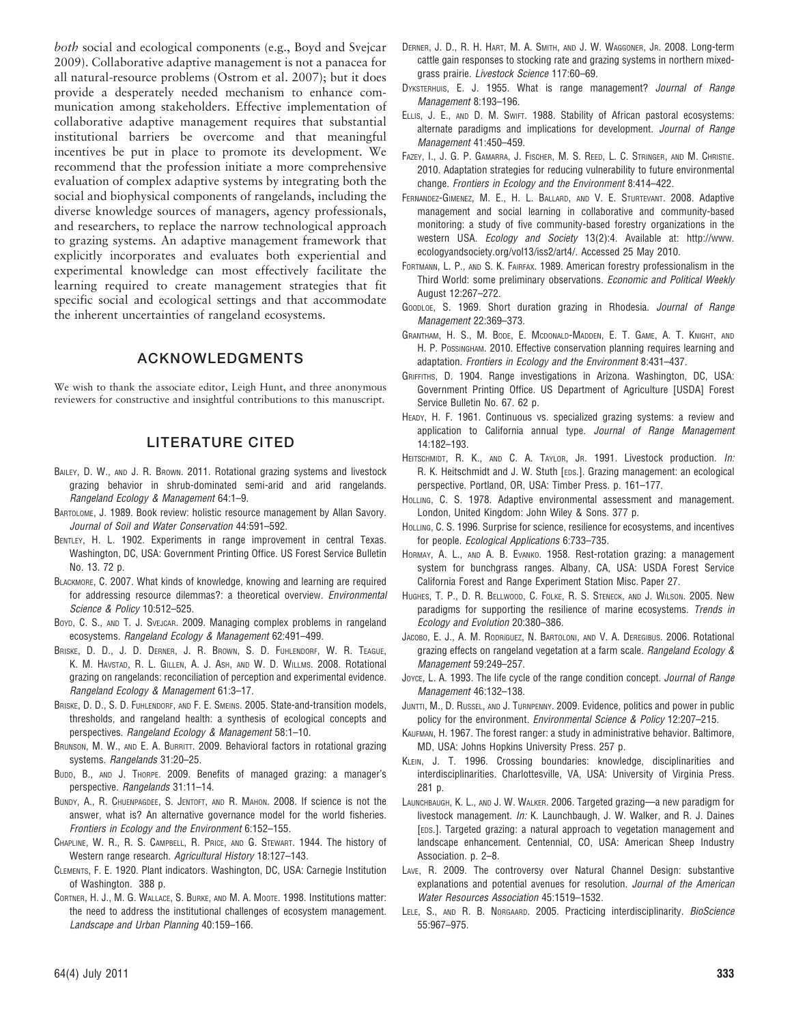both social and ecological components (e.g., Boyd and Svejcar 2009). Collaborative adaptive management is not a panacea for all natural-resource problems (Ostrom et al. 2007); but it does provide a desperately needed mechanism to enhance communication among stakeholders. Effective implementation of collaborative adaptive management requires that substantial institutional barriers be overcome and that meaningful incentives be put in place to promote its development. We recommend that the profession initiate a more comprehensive evaluation of complex adaptive systems by integrating both the social and biophysical components of rangelands, including the diverse knowledge sources of managers, agency professionals, and researchers, to replace the narrow technological approach to grazing systems. An adaptive management framework that explicitly incorporates and evaluates both experiential and experimental knowledge can most effectively facilitate the learning required to create management strategies that fit specific social and ecological settings and that accommodate the inherent uncertainties of rangeland ecosystems.

# ACKNOWLEDGMENTS

We wish to thank the associate editor, Leigh Hunt, and three anonymous reviewers for constructive and insightful contributions to this manuscript.

# LITERATURE CITED

- BAILEY, D. W., AND J. R. BROWN. 2011. Rotational grazing systems and livestock grazing behavior in shrub-dominated semi-arid and arid rangelands. Rangeland Ecology & Management 64:1–9.
- BARTOLOME, J. 1989. Book review: holistic resource management by Allan Savory. Journal of Soil and Water Conservation 44:591–592.
- BENTLEY, H. L. 1902. Experiments in range improvement in central Texas. Washington, DC, USA: Government Printing Office. US Forest Service Bulletin No. 13. 72 p.
- BLACKMORE, C. 2007. What kinds of knowledge, knowing and learning are required for addressing resource dilemmas?: a theoretical overview. Environmental Science & Policy 10:512–525.
- Boyd, C. S., AND T. J. SVEJCAR. 2009. Managing complex problems in rangeland ecosystems. Rangeland Ecology & Management 62:491–499.
- BRISKE, D. D., J. D. DERNER, J. R. BROWN, S. D. FUHLENDORF, W. R. TEAGUE, K. M. HAVSTAD, R. L. GILLEN, A. J. ASH, AND W. D. WILLMS. 2008. Rotational grazing on rangelands: reconciliation of perception and experimental evidence. Rangeland Ecology & Management 61:3–17.
- BRISKE, D. D., S. D. FUHLENDORF, AND F. E. SMEINS. 2005. State-and-transition models, thresholds, and rangeland health: a synthesis of ecological concepts and perspectives. Rangeland Ecology & Management 58:1–10.
- BRUNSON, M. W., AND E. A. BURRITT. 2009. Behavioral factors in rotational grazing systems. Rangelands 31:20–25.
- BUDD, B., AND J. THORPE. 2009. Benefits of managed grazing: a manager's perspective. Rangelands 31:11–14.
- BUNDY, A., R. CHUENPAGDEE, S. JENTOFT, AND R. MAHON. 2008. If science is not the answer, what is? An alternative governance model for the world fisheries. Frontiers in Ecology and the Environment 6:152–155.
- CHAPLINE, W. R., R. S. CAMPBELL, R. PRICE, AND G. STEWART. 1944. The history of Western range research. Agricultural History 18:127–143.
- CLEMENTS, F. E. 1920. Plant indicators. Washington, DC, USA: Carnegie Institution of Washington. 388 p.
- CORTNER, H. J., M. G. WALLACE, S. BURKE, AND M. A. MOOTE. 1998. Institutions matter: the need to address the institutional challenges of ecosystem management. Landscape and Urban Planning 40:159–166.
- DERNER, J. D., R. H. HART, M. A. SMITH, AND J. W. WAGGONER, JR. 2008. Long-term cattle gain responses to stocking rate and grazing systems in northern mixedgrass prairie. Livestock Science 117:60–69.
- DYKSTERHUIS, E. J. 1955. What is range management? Journal of Range Management 8:193–196.
- ELLIS, J. E., AND D. M. SWIFT. 1988. Stability of African pastoral ecosystems: alternate paradigms and implications for development. Journal of Range Management 41:450–459.
- FAZEY, I., J. G. P. GAMARRA, J. FISCHER, M. S. REED, L. C. STRINGER, AND M. CHRISTIE. 2010. Adaptation strategies for reducing vulnerability to future environmental change. Frontiers in Ecology and the Environment 8:414–422.
- FERNANDEZ-GIMENEZ, M. E., H. L. BALLARD, AND V. E. STURTEVANT. 2008. Adaptive management and social learning in collaborative and community-based monitoring: a study of five community-based forestry organizations in the western USA. Ecology and Society 13(2):4. Available at: http://www. ecologyandsociety.org/vol13/iss2/art4/. Accessed 25 May 2010.
- FORTMANN, L. P., AND S. K. FAIRFAX. 1989. American forestry professionalism in the Third World: some preliminary observations. Economic and Political Weekly August 12:267–272.
- GOODLOE, S. 1969. Short duration grazing in Rhodesia. Journal of Range Management 22:369–373.
- GRANTHAM, H. S., M. BODE, E. MCDONALD-MADDEN, E. T. GAME, A. T. KNIGHT, AND H. P. POSSINGHAM. 2010. Effective conservation planning requires learning and adaptation. Frontiers in Ecology and the Environment 8:431–437.
- GRIFFITHS, D. 1904. Range investigations in Arizona. Washington, DC, USA: Government Printing Office. US Department of Agriculture [USDA] Forest Service Bulletin No. 67. 62 p.
- HEADY, H. F. 1961. Continuous vs. specialized grazing systems: a review and application to California annual type. Journal of Range Management 14:182–193.
- HEITSCHMIDT, R. K., AND C. A. TAYLOR, JR. 1991. Livestock production. In: R. K. Heitschmidt and J. W. Stuth [EDS.]. Grazing management: an ecological perspective. Portland, OR, USA: Timber Press. p. 161–177.
- HOLLING, C. S. 1978. Adaptive environmental assessment and management. London, United Kingdom: John Wiley & Sons. 377 p.
- HOLLING, C. S. 1996. Surprise for science, resilience for ecosystems, and incentives for people. Ecological Applications 6:733–735.
- HORMAY, A. L., AND A. B. EVANKO. 1958. Rest-rotation grazing: a management system for bunchgrass ranges. Albany, CA, USA: USDA Forest Service California Forest and Range Experiment Station Misc. Paper 27.
- HUGHES, T. P., D. R. BELLWOOD, C. FOLKE, R. S. STENECK, AND J. WILSON. 2005. New paradigms for supporting the resilience of marine ecosystems. Trends in Ecology and Evolution 20:380–386.
- JACOBO, E. J., A. M. RODRIGUEZ, N. BARTOLONI, AND V. A. DEREGIBUS. 2006. Rotational grazing effects on rangeland vegetation at a farm scale. Rangeland Ecology & Management 59:249–257.
- Joyce, L. A. 1993. The life cycle of the range condition concept. Journal of Range Management 46:132–138.
- JUNTTI, M., D. RUSSEL, AND J. TURNPENNY. 2009. Evidence, politics and power in public policy for the environment. Environmental Science & Policy 12:207-215.
- KAUFMAN, H. 1967. The forest ranger: a study in administrative behavior. Baltimore, MD, USA: Johns Hopkins University Press. 257 p.
- KLEIN, J. T. 1996. Crossing boundaries: knowledge, disciplinarities and interdisciplinarities. Charlottesville, VA, USA: University of Virginia Press. 281 p.
- LAUNCHBAUGH, K. L., AND J. W. WALKER. 2006. Targeted grazing—a new paradigm for livestock management. In: K. Launchbaugh, J. W. Walker, and R. J. Daines [EDS.]. Targeted grazing: a natural approach to vegetation management and landscape enhancement. Centennial, CO, USA: American Sheep Industry Association. p. 2–8.
- LAVE, R. 2009. The controversy over Natural Channel Design: substantive explanations and potential avenues for resolution. Journal of the American Water Resources Association 45:1519–1532.
- LELE, S., AND R. B. NORGAARD. 2005. Practicing interdisciplinarity. BioScience 55:967–975.